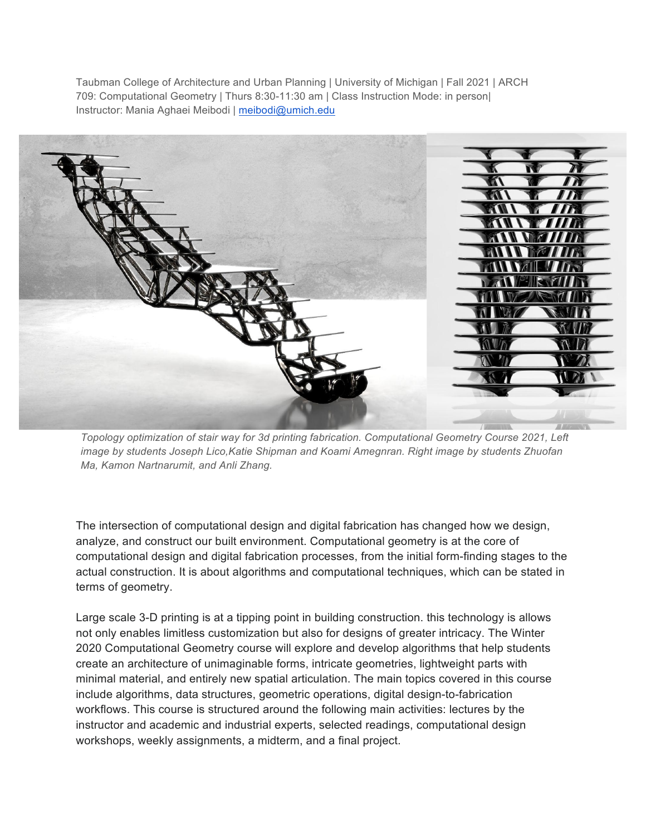Taubman College of Architecture and Urban Planning | University of Michigan | Fall 2021 | ARCH 709: Computational Geometry | Thurs 8:30-11:30 am | Class Instruction Mode: in person| Instructor: Mania Aghaei Meibodi | meibodi@umich.edu



*Topology optimization of stair way for 3d printing fabrication. Computational Geometry Course 2021, Left image by students Joseph Lico,Katie Shipman and Koami Amegnran. Right image by students Zhuofan Ma, Kamon Nartnarumit, and Anli Zhang.* 

The intersection of computational design and digital fabrication has changed how we design, analyze, and construct our built environment. Computational geometry is at the core of computational design and digital fabrication processes, from the initial form-finding stages to the actual construction. It is about algorithms and computational techniques, which can be stated in terms of geometry.

Large scale 3-D printing is at a tipping point in building construction. this technology is allows not only enables limitless customization but also for designs of greater intricacy. The Winter 2020 Computational Geometry course will explore and develop algorithms that help students create an architecture of unimaginable forms, intricate geometries, lightweight parts with minimal material, and entirely new spatial articulation. The main topics covered in this course include algorithms, data structures, geometric operations, digital design-to-fabrication workflows. This course is structured around the following main activities: lectures by the instructor and academic and industrial experts, selected readings, computational design workshops, weekly assignments, a midterm, and a final project.